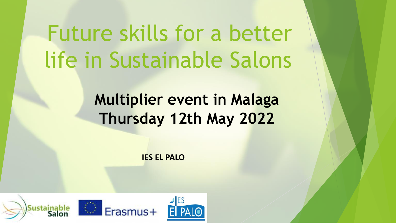### Future skills for a better life in Sustainable Salons

#### **Multiplier event in Malaga Thursday 12th May 2022**

**IES EL PALO**

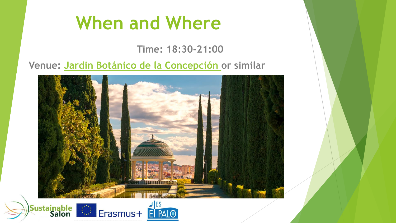#### **When and Where**

**Time: 18:30-21:00**

**Venue: Jardin Botánico [de la Concepción o](https://laconcepcion.malaga.eu/)r similar**



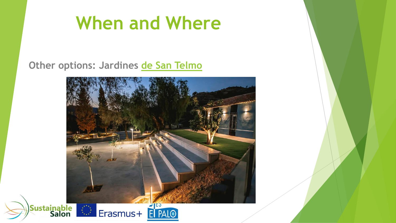#### **When and Where**

**Other options: Jardines [de San Telmo](https://jardinesdesantelmo.es/#1)**

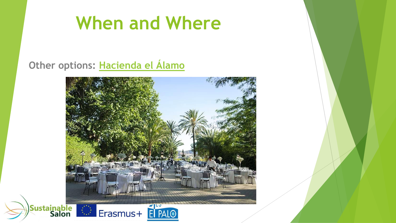#### **When and Where**

**Other options: [Hacienda el Álamo](https://haciendadelalamo.es/)**

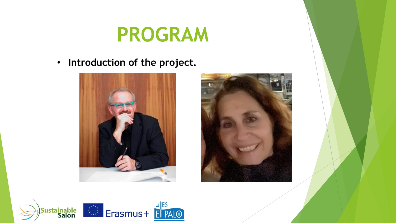• **Introduction of the project.**





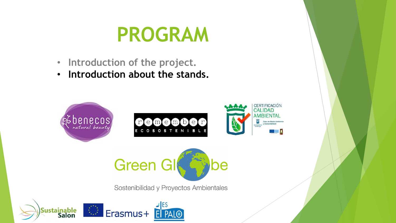- **Introduction of the project.**
- **Introduction about the stands.**





Sostenibilidad y Proyectos Ambientales

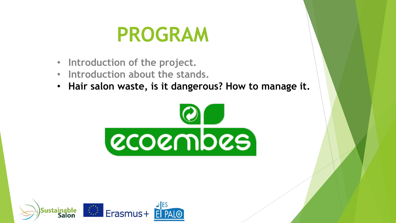- **Introduction of the project.**
- **Introduction about the stands.**
- **Hair salon waste, is it dangerous? How to manage it.**



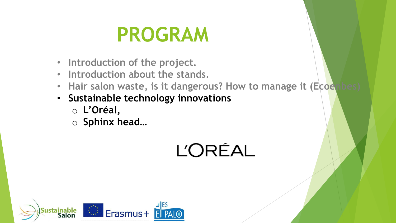- **Introduction of the project.**
- **Introduction about the stands.**
- Hair salon waste, is it dangerous? How to manage it (Ecoe
- **Sustainable technology innovations**
	- o **L'Oréal,**
	- o **Sphinx head…**

**L'ORÉAL** 

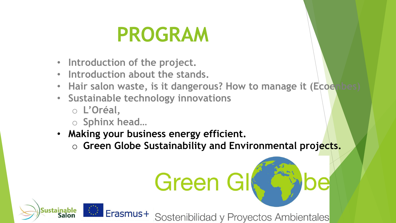- **Introduction of the project.**
- **Introduction about the stands.**
- Hair salon waste, is it dangerous? How to manage it (Ecoe
- **Sustainable technology innovations**
	- o **L'Oréal,**

Sustainable<br>Salon

- o **Sphinx head…**
- **Making your business energy efficient.**
	- o **Green Globe Sustainability and Environmental projects.**

# Green Gl

Erasmus+ Sostenibilidad y Proyectos Ambientales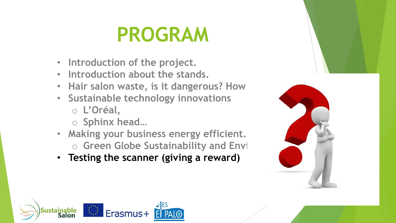- **Introduction of the project.**
- **Introduction about the stands.**
- Hair salon waste, is it dangerous? How
- **Sustainable technology innovations** o **L'Oréal,**
	- o **Sphinx head…**
- **Making your business energy efficient.** o **Green Globe Sustainability and Envirth**
- **Testing the scanner (giving a reward)**



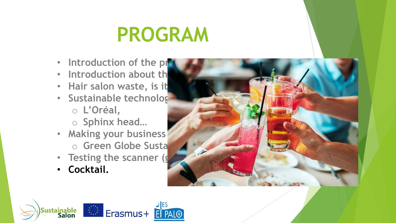- Introduction of the pr
- Introduction about th
- Hair salon waste, is it
- **Sustainable technolog** o **L'Oréal,**
	- o **Sphinx head…**
- Making your business o **Green Globe Susta**
- Testing the scanner (g
- **Cocktail.**



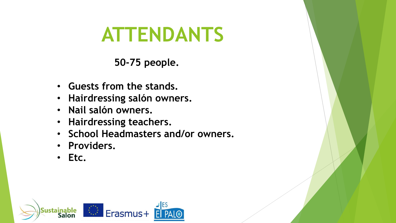#### **ATTENDANTS**

**50-75 people.**

- **Guests from the stands.**
- **Hairdressing salón owners.**
- **Nail salón owners.**
- **Hairdressing teachers.**
- **School Headmasters and/or owners.**
- **Providers.**
- **Etc.**

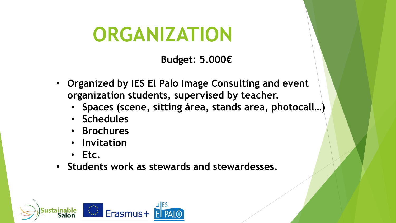#### **ORGANIZATION**

**Budget: 5.000€**

- **Organized by IES El Palo Image Consulting and event organization students, supervised by teacher.**
	- **Spaces (scene, sitting área, stands area, photocall…)**
	- **Schedules**
	- **Brochures**
	- **Invitation**
	- **Etc.**
- **Students work as stewards and stewardesses.**

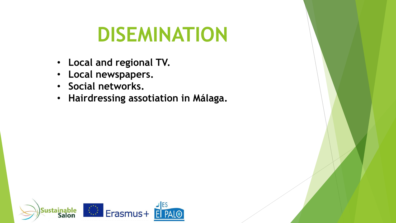#### **DISEMINATION**

- **Local and regional TV.**
- **Local newspapers.**
- **Social networks.**
- **Hairdressing assotiation in Málaga.**